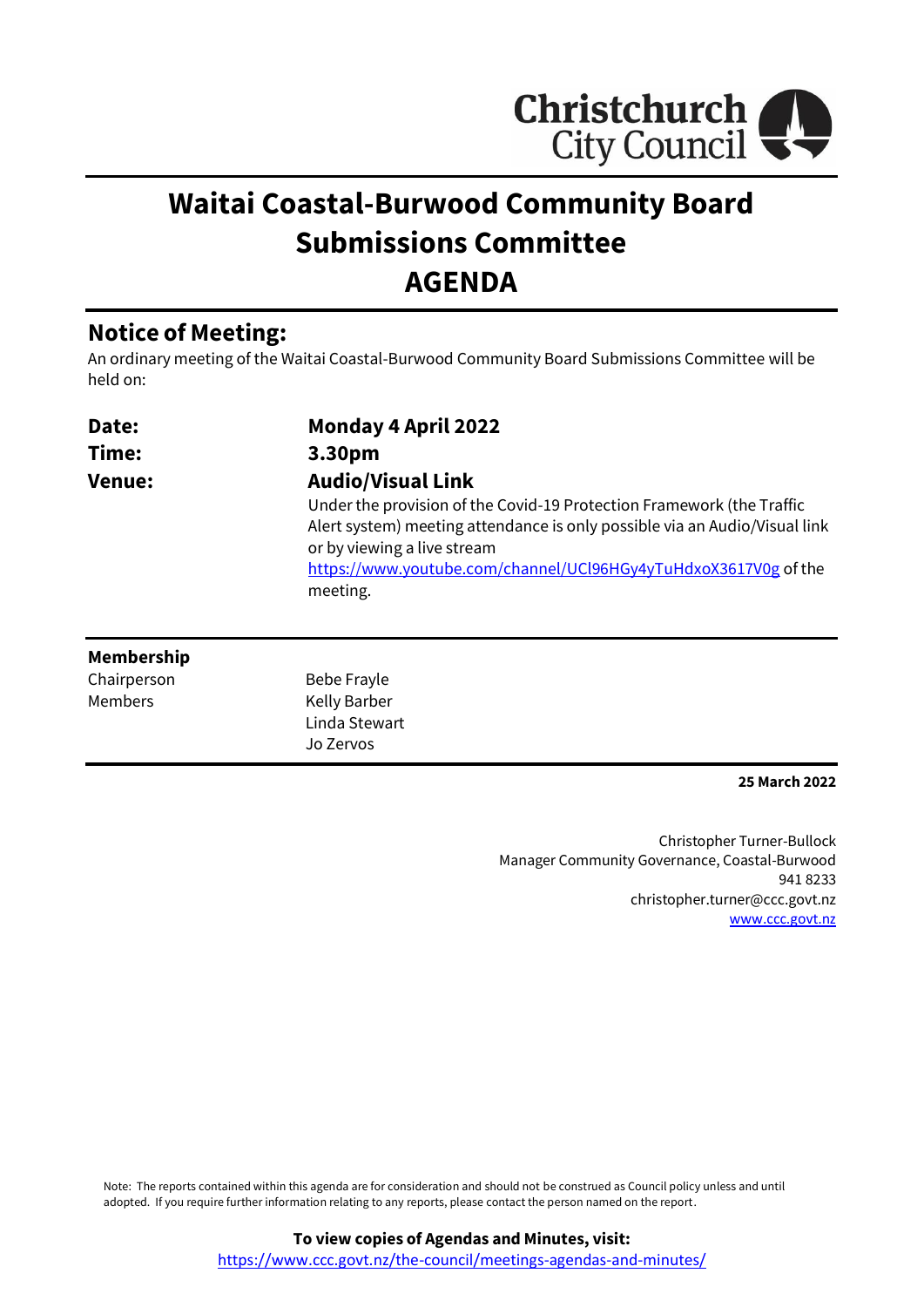

# **Waitai Coastal-Burwood Community Board Submissions Committee AGENDA**

## **Notice of Meeting:**

An ordinary meeting of the Waitai Coastal-Burwood Community Board Submissions Committee will be held on:

| Date:         | <b>Monday 4 April 2022</b>                                                                                |
|---------------|-----------------------------------------------------------------------------------------------------------|
| Time:         | 3.30pm                                                                                                    |
| <b>Venue:</b> | <b>Audio/Visual Link</b>                                                                                  |
|               | Under the provision of the Covid-19 Protection Framework (the Traffic                                     |
|               | Alert system) meeting attendance is only possible via an Audio/Visual link<br>or by viewing a live stream |
|               | https://www.youtube.com/channel/UCl96HGy4yTuHdxoX3617V0g of the                                           |
|               | meeting.                                                                                                  |

#### **Membership**

Chairperson Members

Bebe Frayle Kelly Barber Linda Stewart Jo Zervos

**25 March 2022**

Christopher Turner-Bullock Manager Community Governance, Coastal-Burwood 941 8233 christopher.turner@ccc.govt.nz [www.ccc.govt.nz](http://www.ccc.govt.nz/)

Note: The reports contained within this agenda are for consideration and should not be construed as Council policy unless and until adopted. If you require further information relating to any reports, please contact the person named on the report.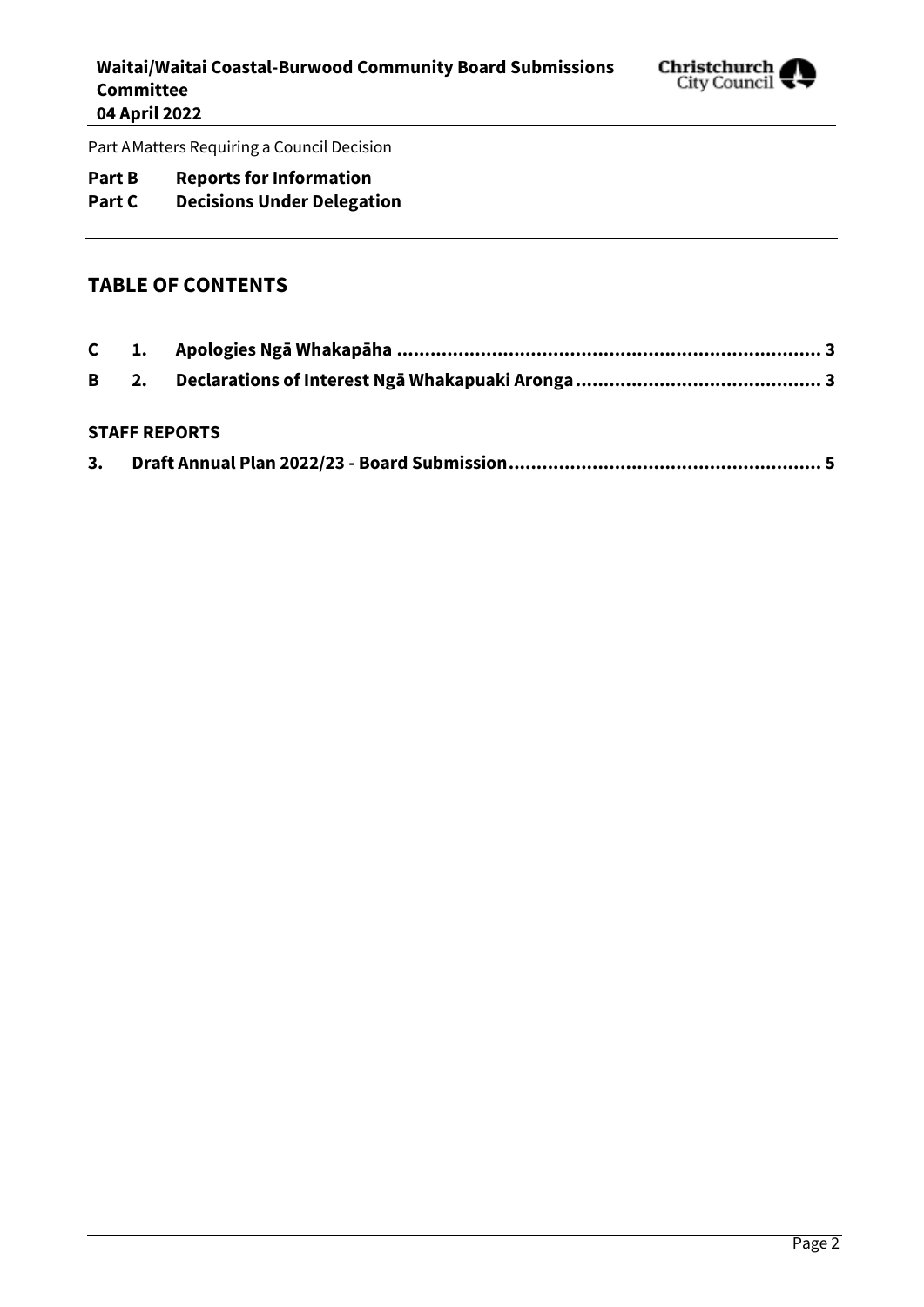

Part AMatters Requiring a Council Decision

## **Part B Reports for Information**

## **Part C Decisions Under Delegation**

### **TABLE OF CONTENTS**

#### **STAFF REPORTS**

| 3. |  |
|----|--|
|    |  |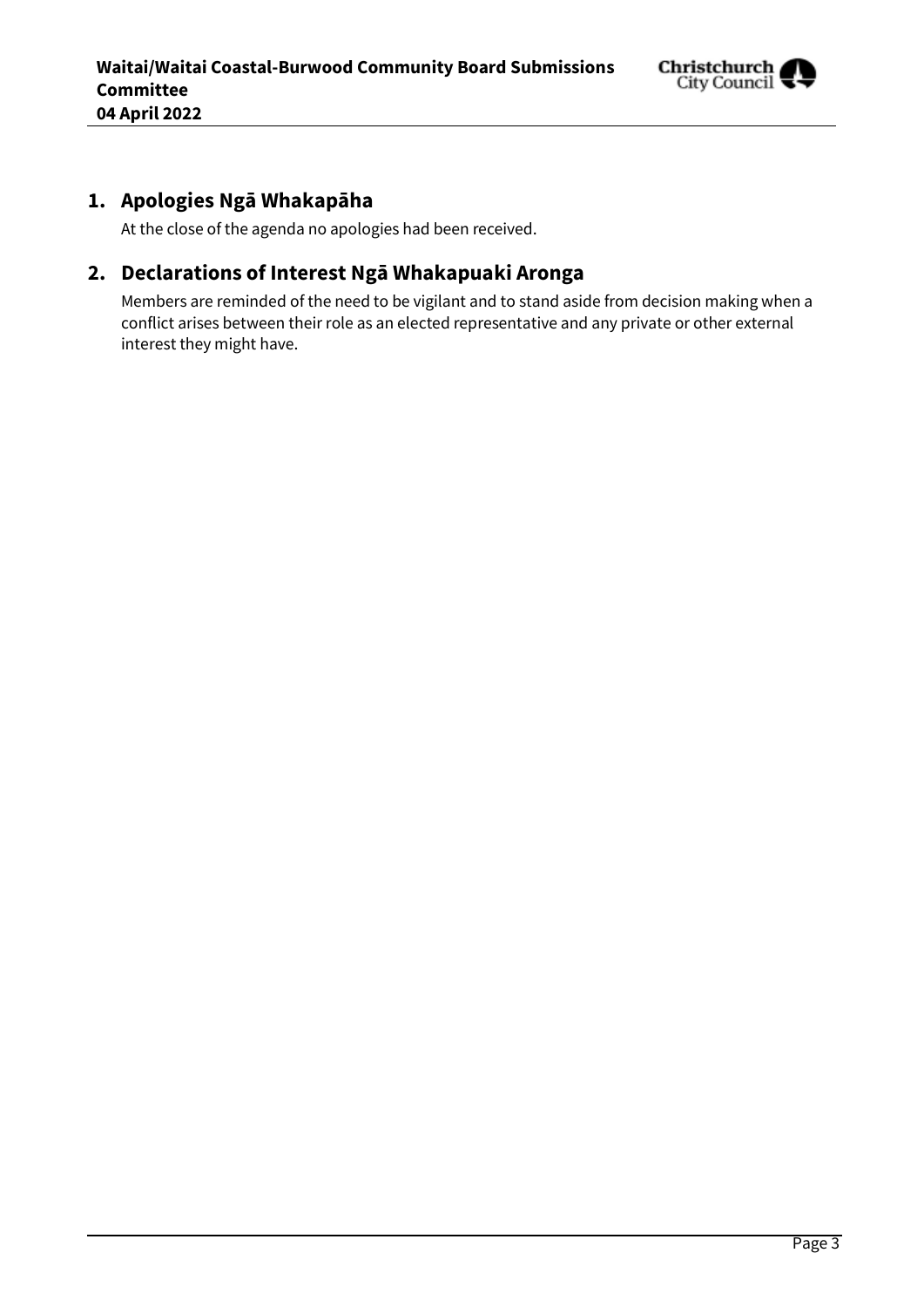

## <span id="page-2-0"></span>**1. Apologies Ngā Whakapāha**

At the close of the agenda no apologies had been received.

## <span id="page-2-1"></span>**2. Declarations of Interest Ngā Whakapuaki Aronga**

Members are reminded of the need to be vigilant and to stand aside from decision making when a conflict arises between their role as an elected representative and any private or other external interest they might have.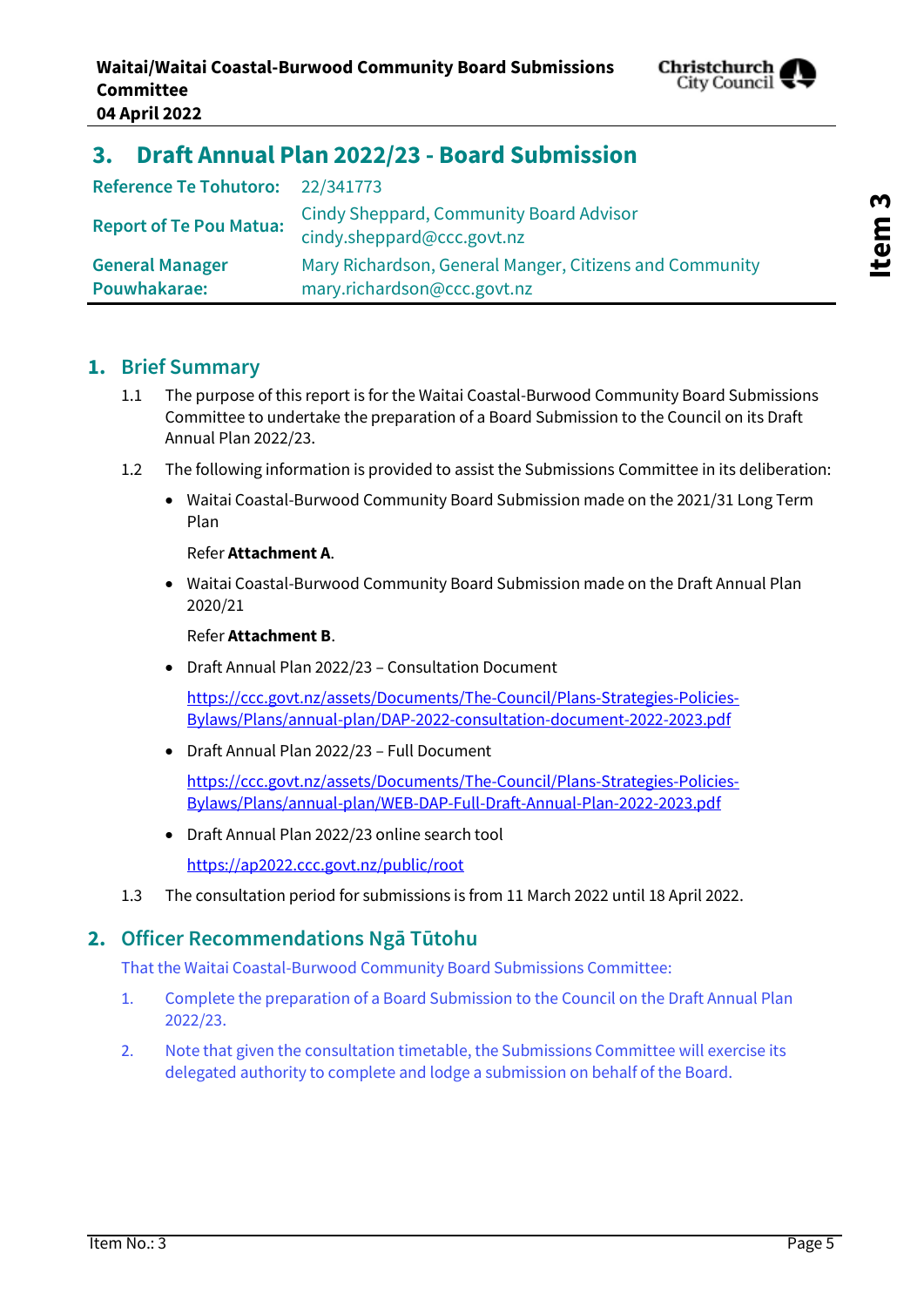

# **Item 3**

## <span id="page-4-0"></span>**3. Draft Annual Plan 2022/23 - Board Submission**

| Reference Te Tohutoro: 22/341773       |                                                                                        |
|----------------------------------------|----------------------------------------------------------------------------------------|
| <b>Report of Te Pou Matua:</b>         | <b>Cindy Sheppard, Community Board Advisor</b><br>cindy.sheppard@ccc.govt.nz           |
| <b>General Manager</b><br>Pouwhakarae: | Mary Richardson, General Manger, Citizens and Community<br>mary.richardson@ccc.govt.nz |

## **1. Brief Summary**

- 1.1 The purpose of this report is for the Waitai Coastal-Burwood Community Board Submissions Committee to undertake the preparation of a Board Submission to the Council on its Draft Annual Plan 2022/23.
- 1.2 The following information is provided to assist the Submissions Committee in its deliberation:
	- Waitai Coastal-Burwood Community Board Submission made on the 2021/31 Long Term Plan

#### Refer **Attachment A**.

 Waitai Coastal-Burwood Community Board Submission made on the Draft Annual Plan 2020/21

#### Refer **Attachment B**.

Draft Annual Plan 2022/23 – Consultation Document

[https://ccc.govt.nz/assets/Documents/The-Council/Plans-Strategies-Policies-](https://ccc.govt.nz/assets/Documents/The-Council/Plans-Strategies-Policies-Bylaws/Plans/annual-plan/DAP-2022-consultation-document-2022-2023.pdf)[Bylaws/Plans/annual-plan/DAP-2022-consultation-document-2022-2023.pdf](https://ccc.govt.nz/assets/Documents/The-Council/Plans-Strategies-Policies-Bylaws/Plans/annual-plan/DAP-2022-consultation-document-2022-2023.pdf)

Draft Annual Plan 2022/23 – Full Document

[https://ccc.govt.nz/assets/Documents/The-Council/Plans-Strategies-Policies-](https://ccc.govt.nz/assets/Documents/The-Council/Plans-Strategies-Policies-Bylaws/Plans/annual-plan/WEB-DAP-Full-Draft-Annual-Plan-2022-2023.pdf)[Bylaws/Plans/annual-plan/WEB-DAP-Full-Draft-Annual-Plan-2022-2023.pdf](https://ccc.govt.nz/assets/Documents/The-Council/Plans-Strategies-Policies-Bylaws/Plans/annual-plan/WEB-DAP-Full-Draft-Annual-Plan-2022-2023.pdf)

Draft Annual Plan 2022/23 online search tool

<https://ap2022.ccc.govt.nz/public/root>

1.3 The consultation period for submissions is from 11 March 2022 until 18 April 2022.

## **2. Officer Recommendations Ngā Tūtohu**

That the Waitai Coastal-Burwood Community Board Submissions Committee:

- 1. Complete the preparation of a Board Submission to the Council on the Draft Annual Plan 2022/23.
- 2. Note that given the consultation timetable, the Submissions Committee will exercise its delegated authority to complete and lodge a submission on behalf of the Board.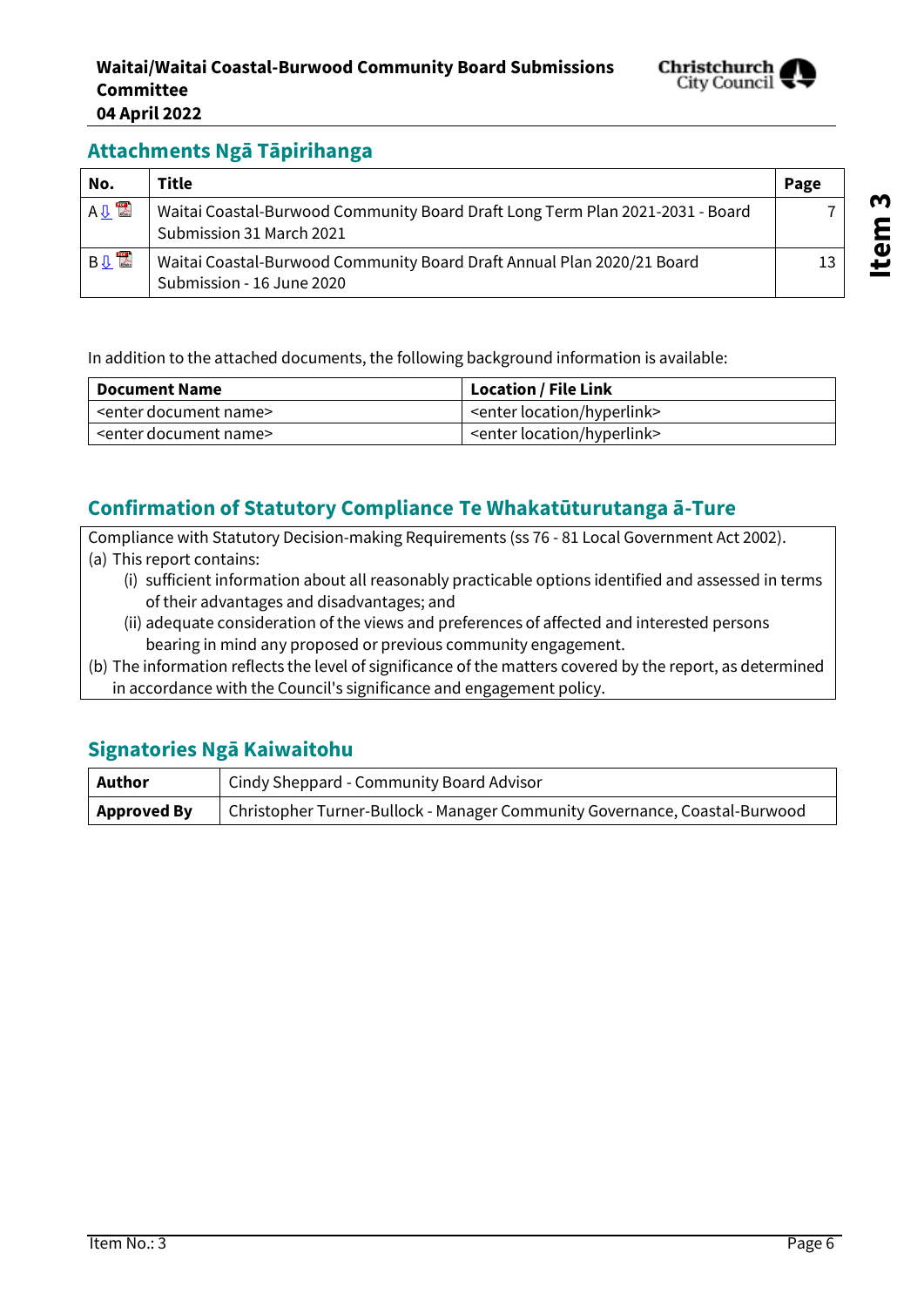

## **Attachments Ngā Tāpirihanga**

| No.        | <b>Title</b>                                                                                              | Page |
|------------|-----------------------------------------------------------------------------------------------------------|------|
| A 见 2      | Waitai Coastal-Burwood Community Board Draft Long Term Plan 2021-2031 - Board<br>Submission 31 March 2021 |      |
| <b>BUL</b> | Waitai Coastal-Burwood Community Board Draft Annual Plan 2020/21 Board<br>Submission - 16 June 2020       |      |

In addition to the attached documents, the following background information is available:

| Document Name                       | Location / File Link                     |
|-------------------------------------|------------------------------------------|
| <enter document="" name=""></enter> | <enter hyperlink="" location=""></enter> |
| <enter document="" name=""></enter> | <enter hyperlink="" location=""></enter> |

## **Confirmation of Statutory Compliance Te Whakatūturutanga ā-Ture**

Compliance with Statutory Decision-making Requirements (ss 76 - 81 Local Government Act 2002). (a) This report contains:

- (i) sufficient information about all reasonably practicable options identified and assessed in terms of their advantages and disadvantages; and
- (ii) adequate consideration of the views and preferences of affected and interested persons bearing in mind any proposed or previous community engagement.
- (b) The information reflects the level of significance of the matters covered by the report, as determined in accordance with the Council's significance and engagement policy.

## **Signatories Ngā Kaiwaitohu**

| Author             | Cindy Sheppard - Community Board Advisor                                   |  |
|--------------------|----------------------------------------------------------------------------|--|
| <b>Approved By</b> | Christopher Turner-Bullock - Manager Community Governance, Coastal-Burwood |  |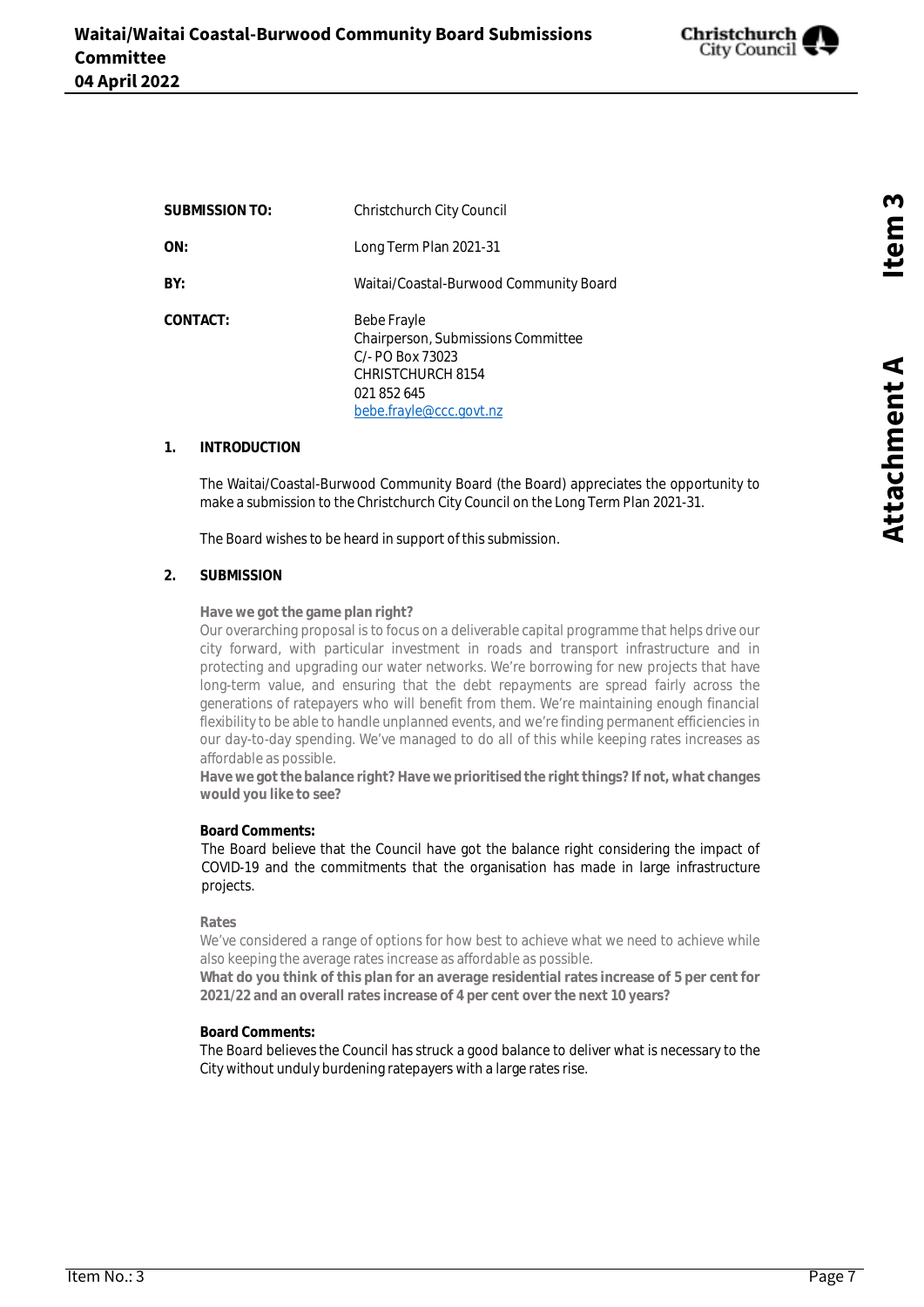

<span id="page-6-0"></span>**SUBMISSION TO:** Christchurch City Council **ON:** Long Term Plan 2021-31 **BY:** Waitai/Coastal-Burwood Community Board CONTACT: Bebe Frayle Chairperson, Submissions Committee C/- PO Box 73023 CHRISTCHURCH 8154 021 852 645 bebe.frayle@ccc.govt.nz

#### **1. INTRODUCTION**

The Waitai/Coastal-Burwood Community Board (the Board) appreciates the opportunity to make a submission to the Christchurch City Council on the Long Term Plan 2021-31.

The Board wishes to be heard in support of this submission.

#### **2. SUBMISSION**

**Have we got the game plan right?**

Our overarching proposal is to focus on a deliverable capital programme that helps drive our city forward, with particular investment in roads and transport infrastructure and in protecting and upgrading our water networks. We're borrowing for new projects that have long-term value, and ensuring that the debt repayments are spread fairly across the generations of ratepayers who will benefit from them. We're maintaining enough financial flexibility to be able to handle unplanned events, and we're finding permanent efficiencies in our day-to-day spending. We've managed to do all of this while keeping rates increases as affordable as possible.

**Have we got the balance right? Have we prioritised the right things? If not, what changes would you like to see?**

#### **Board Comments:**

The Board believe that the Council have got the balance right considering the impact of COVID-19 and the commitments that the organisation has made in large infrastructure projects.

**Rates**

 We've considered a range of options for how best to achieve what we need to achieve while also keeping the average rates increase as affordable as possible.

**What do you think of this plan for an average residential rates increase of 5 per cent for 2021/22 and an overall rates increase of 4 per cent over the next 10 years?**

#### **Board Comments:**

The Board believes the Council has struck a good balance to deliver what is necessary to the City without unduly burdening ratepayers with a large rates rise.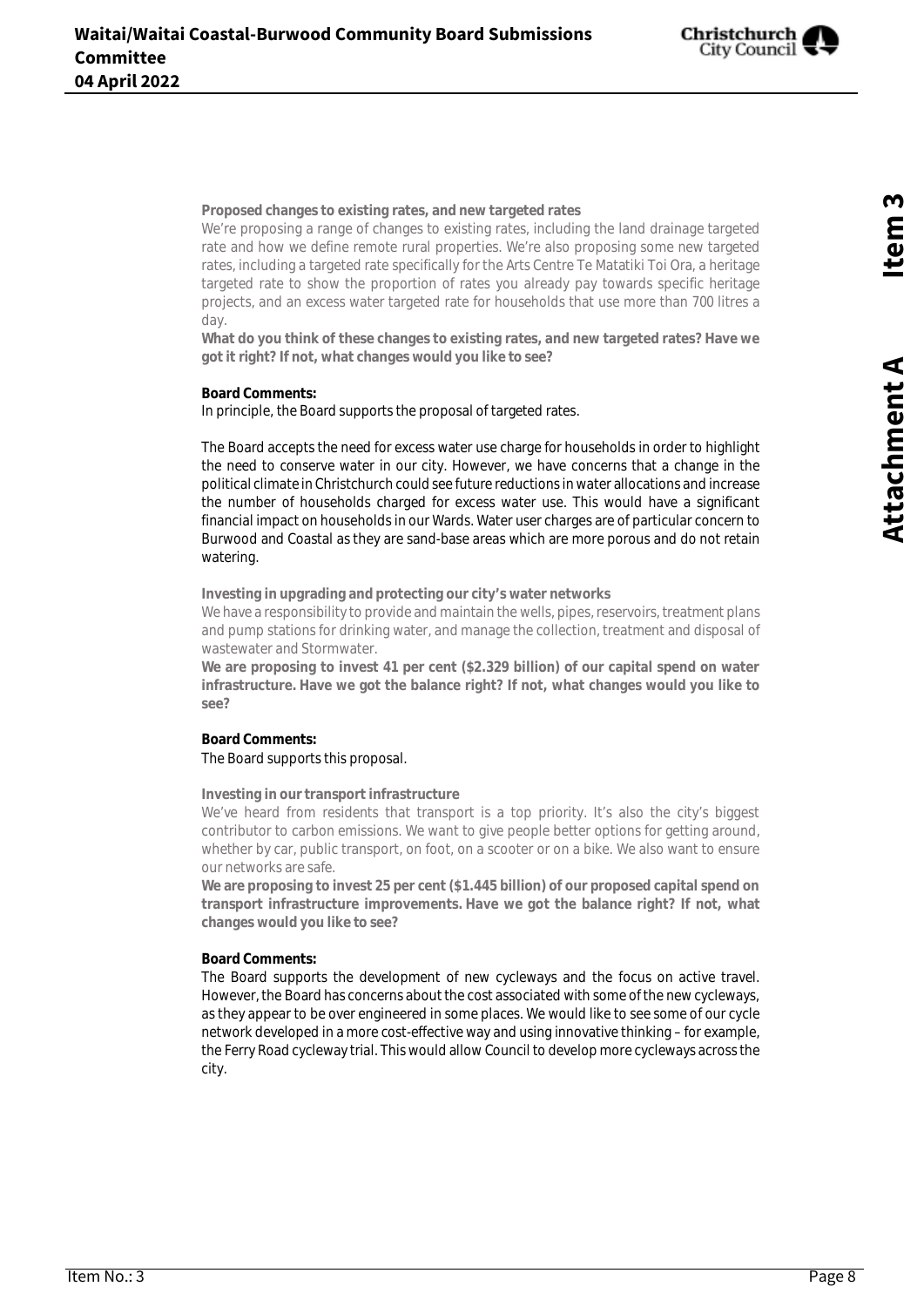

**Proposed changes to existing rates, and new targeted rates**

We're proposing a range of changes to existing rates, including the land drainage targeted rate and how we define remote rural properties. We're also proposing some new targeted rates, including a targeted rate specifically for the Arts Centre Te Matatiki Toi Ora, a heritage targeted rate to show the proportion of rates you already pay towards specific heritage projects, and an excess water targeted rate for households that use more than 700 litres a day.

**What do you think of these changes to existing rates, and new targeted rates? Have we got it right? If not, what changes would you like to see?**

**Board Comments:**

In principle, the Board supports the proposal of targeted rates.

The Board accepts the need for excess water use charge for households in order to highlight the need to conserve water in our city. However, we have concerns that a change in the political climate in Christchurch could see future reductions in water allocations and increase the number of households charged for excess water use. This would have a significant financial impact on households in our Wards. Water user charges are of particular concern to Burwood and Coastal as they are sand-base areas which are more porous and do not retain watering.

**Investing in upgrading and protecting our city's water networks**

We have a responsibility to provide and maintain the wells, pipes, reservoirs, treatment plans and pump stations for drinking water, and manage the collection, treatment and disposal of wastewater and Stormwater.

**We are proposing to invest 41 per cent (\$2.329 billion) of our capital spend on water infrastructure. Have we got the balance right? If not, what changes would you like to see?**

#### **Board Comments:** The Board supports this proposal.

**Investing in our transport infrastructure**

We've heard from residents that transport is a top priority. It's also the city's biggest contributor to carbon emissions. We want to give people better options for getting around, whether by car, public transport, on foot, on a scooter or on a bike. We also want to ensure our networks are safe.

**We are proposing to invest 25 per cent (\$1.445 billion) of our proposed capital spend on transport infrastructure improvements. Have we got the balance right? If not, what changes would you like to see?**

#### **Board Comments:**

The Board supports the development of new cycleways and the focus on active travel. However, the Board has concerns about the cost associated with some of the new cycleways, as they appear to be over engineered in some places. We would like to see some of our cycle network developed in a more cost-effective way and using innovative thinking – for example, the Ferry Road cycleway trial. This would allow Council to develop more cycleways across the city.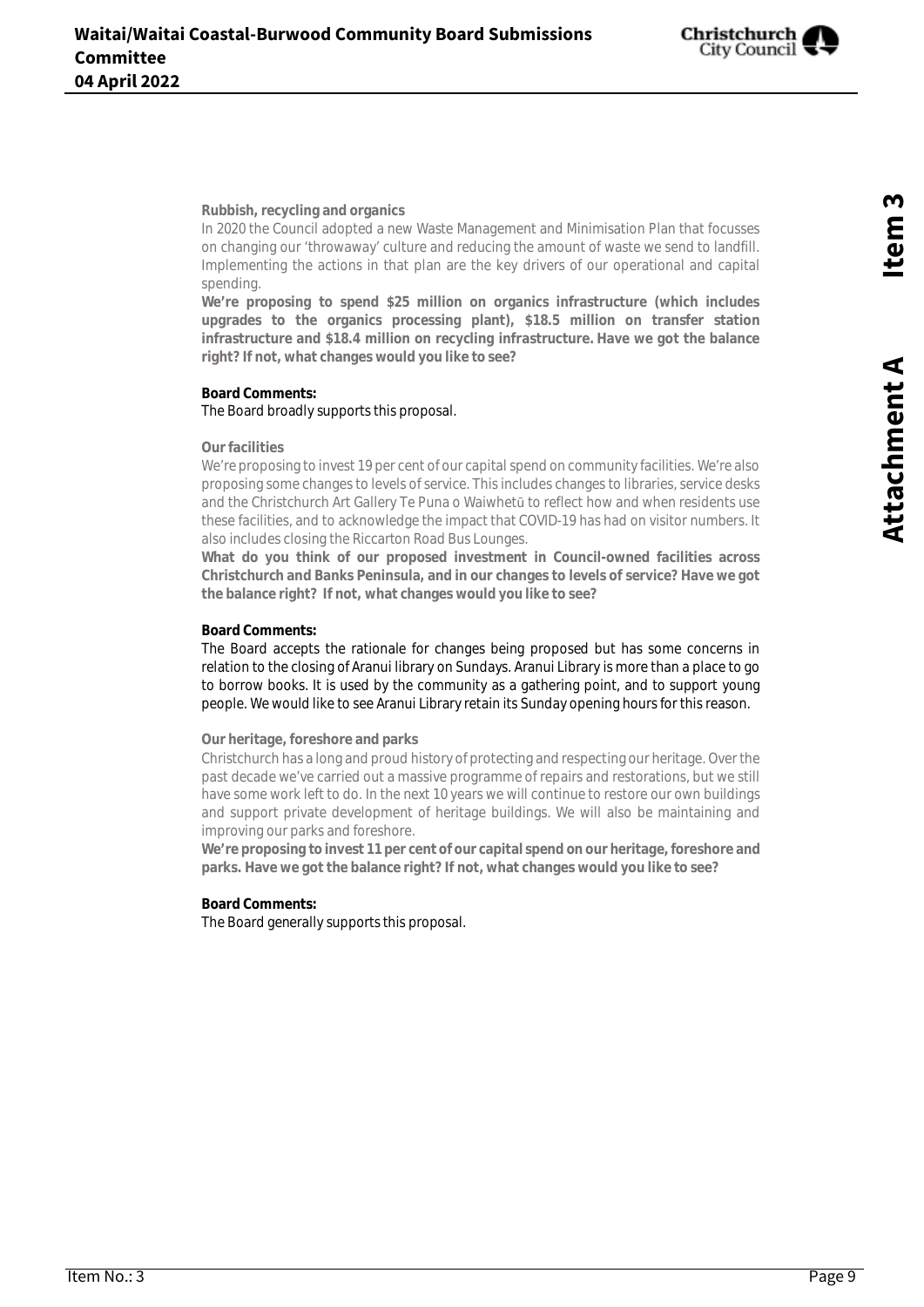

**Rubbish, recycling and organics**

In 2020 the Council adopted a new Waste Management and Minimisation Plan that focusses on changing our 'throwaway' culture and reducing the amount of waste we send to landfill. Implementing the actions in that plan are the key drivers of our operational and capital spending.

**We're proposing to spend \$25 million on organics infrastructure (which includes upgrades to the organics processing plant), \$18.5 million on transfer station infrastructure and \$18.4 million on recycling infrastructure. Have we got the balance right? If not, what changes would you like to see?**

#### **Board Comments:** The Board broadly supports this proposal.

#### **Our facilities**

We're proposing to invest 19 per cent of our capital spend on community facilities. We're also proposing some changes to levels of service. This includes changes to libraries, service desks and the Christchurch Art Gallery Te Puna o Waiwhetū to reflect how and when residents use these facilities, and to acknowledge the impact that COVID-19 has had on visitor numbers. It also includes closing the Riccarton Road Bus Lounges.

**What do you think of our proposed investment in Council-owned facilities across Christchurch and Banks Peninsula, and in our changes to levels of service? Have we got the balance right? If not, what changes would you like to see?**

#### **Board Comments:**

The Board accepts the rationale for changes being proposed but has some concerns in relation to the closing of Aranui library on Sundays. Aranui Library is more than a place to go to borrow books. It is used by the community as a gathering point, and to support young people. We would like to see Aranui Library retain its Sunday opening hours for this reason.

#### **Our heritage, foreshore and parks**

Christchurch has a long and proud history of protecting and respecting our heritage. Over the past decade we've carried out a massive programme of repairs and restorations, but we still have some work left to do. In the next 10 years we will continue to restore our own buildings and support private development of heritage buildings. We will also be maintaining and improving our parks and foreshore.

**We're proposing to invest 11 per cent of our capital spend on our heritage, foreshore and parks. Have we got the balance right? If not, what changes would you like to see?**

#### **Board Comments:**

The Board generally supports this proposal.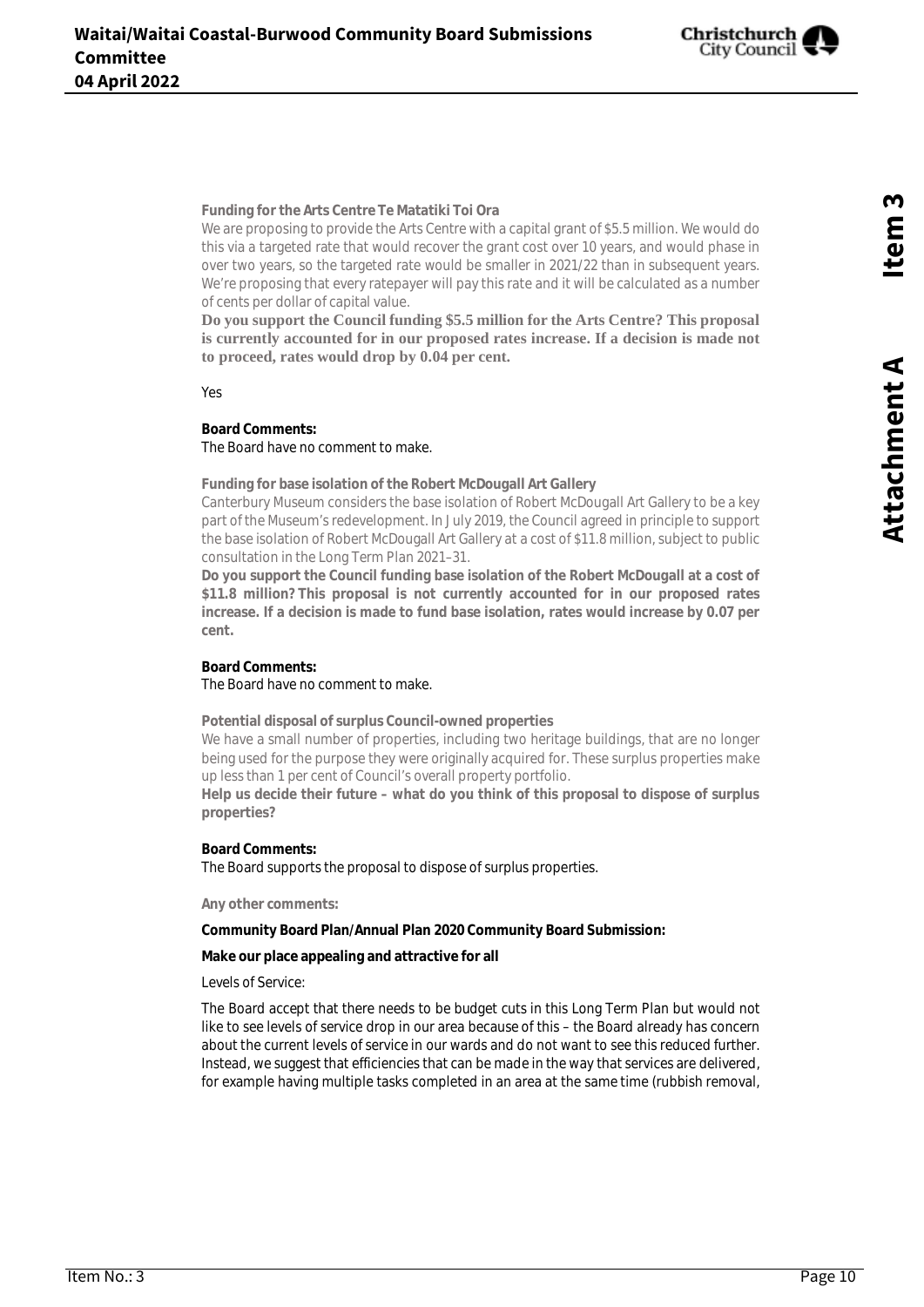

**Funding for the Arts Centre Te Matatiki Toi Ora**

We are proposing to provide the Arts Centre with a capital grant of \$5.5 million. We would do this via a targeted rate that would recover the grant cost over 10 years, and would phase in over two years, so the targeted rate would be smaller in 2021/22 than in subsequent years. We're proposing that every ratepayer will pay this rate and it will be calculated as a number of cents per dollar of capital value.

**Do you support the Council funding \$5.5 million for the Arts Centre? This proposal is currently accounted for in our proposed rates increase. If a decision is made not to proceed, rates would drop by 0.04 per cent.**

Yes

#### **Board Comments:** The Board have no comment to make.

**Funding for base isolation of the Robert McDougall Art Gallery**

Canterbury Museum considers the base isolation of Robert McDougall Art Gallery to be a key part of the Museum's redevelopment. In July 2019, the Council agreed in principle to support the base isolation of Robert McDougall Art Gallery at a cost of \$11.8 million, subject to public consultation in the Long Term Plan 2021–31.

**Do you support the Council funding base isolation of the Robert McDougall at a cost of \$11.8 million? This proposal is not currently accounted for in our proposed rates increase. If a decision is made to fund base isolation, rates would increase by 0.07 per cent.**

#### **Board Comments:** The Board have no comment to make.

**Potential disposal of surplus Council-owned properties**

We have a small number of properties, including two heritage buildings, that are no longer being used for the purpose they were originally acquired for. These surplus properties make up less than 1 per cent of Council's overall property portfolio.

**Help us decide their future – what do you think of this proposal to dispose of surplus properties?**

#### **Board Comments:** The Board supports the proposal to dispose of surplus properties.

**Any other comments:**

**Community Board Plan/Annual Plan 2020 Community Board Submission:**

**Make our place appealing and attractive for all**

Levels of Service:

The Board accept that there needs to be budget cuts in this Long Term Plan but would not like to see levels of service drop in our area because of this – the Board already has concern about the current levels of service in our wards and do not want to see this reduced further. Instead, we suggest that efficiencies that can be made in the way that services are delivered, for example having multiple tasks completed in an area at the same time (rubbish removal,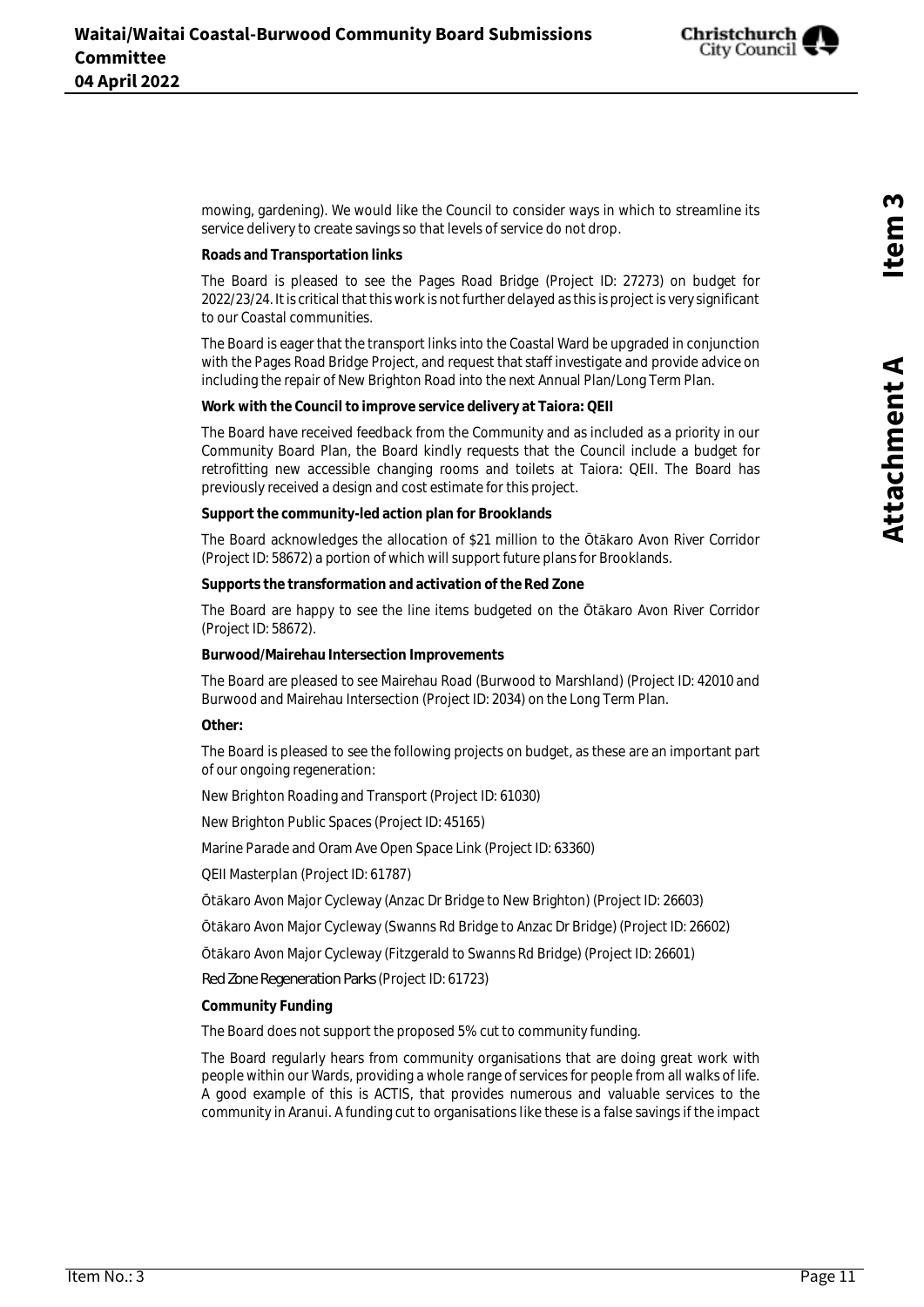

mowing, gardening). We would like the Council to consider ways in which to streamline its service delivery to create savings so that levels of service do not drop.

**Roads and Transportation links**

The Board is pleased to see the Pages Road Bridge (Project ID: 27273) on budget for 2022/23/24. It is critical that this work is not further delayed as this is project is very significant to our Coastal communities.

The Board is eager that the transport links into the Coastal Ward be upgraded in conjunction with the Pages Road Bridge Project, and request that staff investigate and provide advice on including the repair of New Brighton Road into the next Annual Plan/Long Term Plan.

**Work with the Council to improve service delivery at Taiora: QEII**

The Board have received feedback from the Community and as included as a priority in our Community Board Plan, the Board kindly requests that the Council include a budget for retrofitting new accessible changing rooms and toilets at Taiora: QEII. The Board has previously received a design and cost estimate for this project.

**Support the community-led action plan for Brooklands**

The Board acknowledges the allocation of \$21 million to the Ōtākaro Avon River Corridor (Project ID: 58672) a portion of which will support future plans for Brooklands.

**Supports the transformation and activation of the Red Zone**

The Board are happy to see the line items budgeted on the Ōtākaro Avon River Corridor (Project ID: 58672).

**Burwood/Mairehau Intersection Improvements**

The Board are pleased to see Mairehau Road (Burwood to Marshland) (Project ID: 42010 and Burwood and Mairehau Intersection (Project ID: 2034) on the Long Term Plan.

**Other:**

The Board is pleased to see the following projects on budget, as these are an important part of our ongoing regeneration:

New Brighton Roading and Transport (Project ID: 61030)

New Brighton Public Spaces (Project ID: 45165)

Marine Parade and Oram Ave Open Space Link (Project ID: 63360)

QEII Masterplan (Project ID: 61787)

Ōtākaro Avon Major Cycleway (Anzac Dr Bridge to New Brighton) (Project ID: 26603)

Ōtākaro Avon Major Cycleway (Swanns Rd Bridge to Anzac Dr Bridge) (Project ID: 26602)

Ōtākaro Avon Major Cycleway (Fitzgerald to Swanns Rd Bridge) (Project ID: 26601)

Red Zone Regeneration Parks (Project ID: 61723)

**Community Funding**

The Board does not support the proposed 5% cut to community funding.

The Board regularly hears from community organisations that are doing great work with people within our Wards, providing a whole range of services for people from all walks of life. A good example of this is ACTIS, that provides numerous and valuable services to the community in Aranui. A funding cut to organisations like these is a false savings if the impact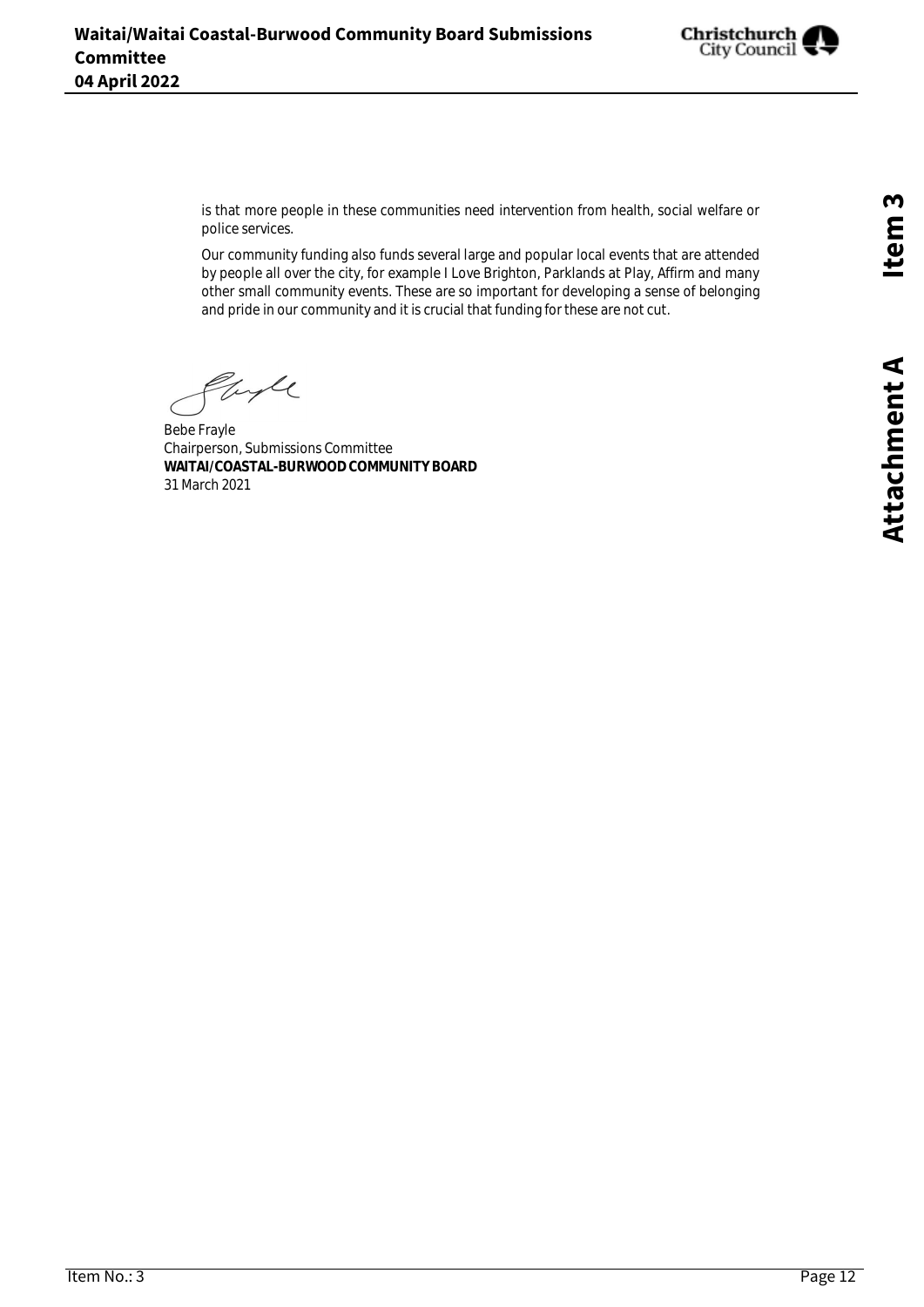

is that more people in these communities need intervention from health, social welfare or police services.

Our community funding also funds several large and popular local events that are attended by people all over the city, for example I Love Brighton, Parklands at Play, Affirm and many other small community events. These are so important for developing a sense of belonging and pride in our community and it is crucial that funding for these are not cut.

Engle

Bebe Frayle Chairperson, Submissions Committee **WAITAI/COASTAL-BURWOOD COMMUNITY BOARD** 31 March 2021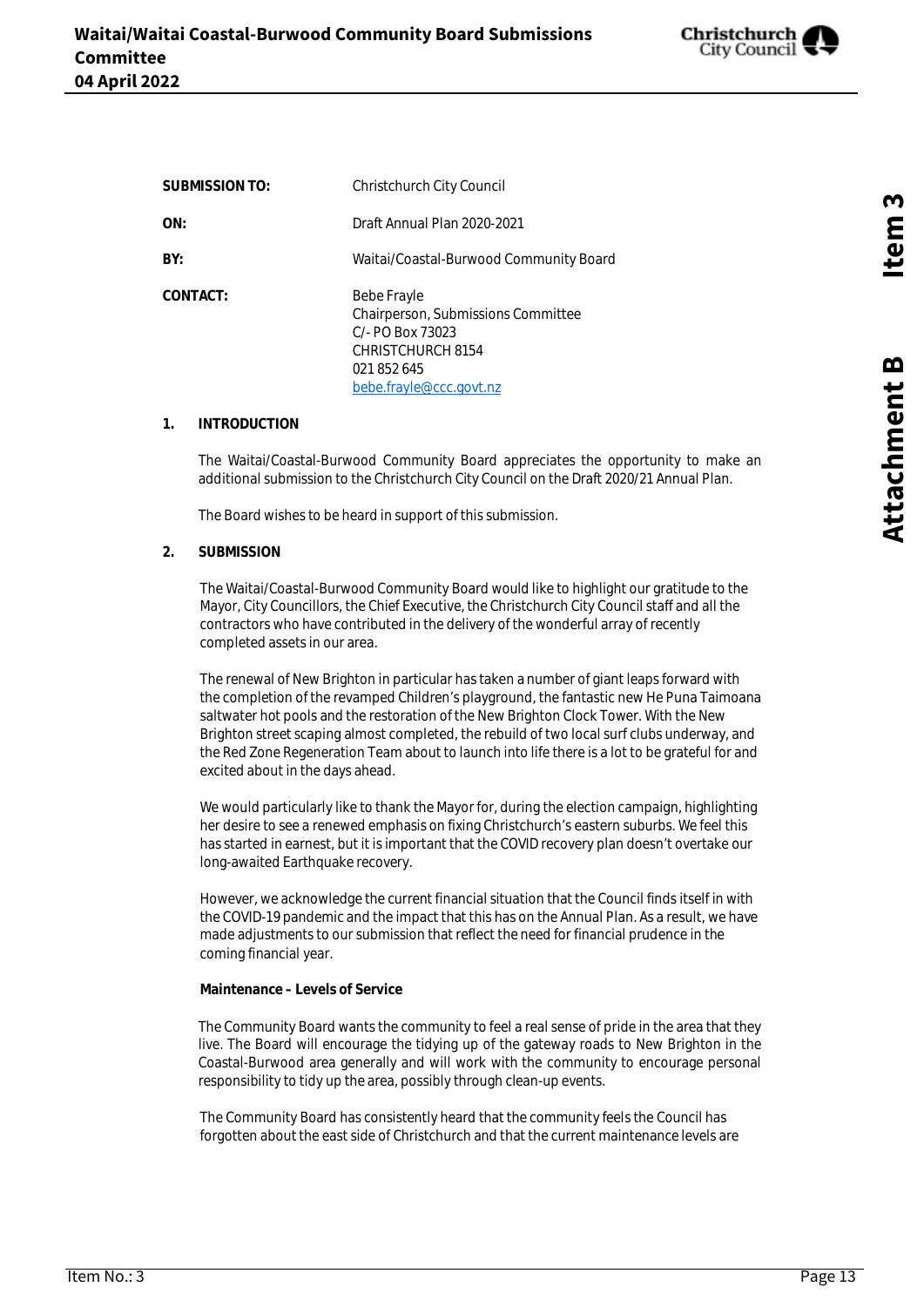

<span id="page-12-0"></span>

| SUBMISSION TO: | Christchurch City Council                                                                                                              |
|----------------|----------------------------------------------------------------------------------------------------------------------------------------|
| ON:            | Draft Annual Plan 2020-2021                                                                                                            |
| BY:            | Waitai/Coastal-Burwood Community Board                                                                                                 |
| CONTACT:       | Bebe Frayle<br>Chairperson, Submissions Committee<br>$C/-$ PO Box 73023<br>CHRISTCHURCH 8154<br>021 852 645<br>bebe.frayle@ccc.govt.nz |

#### **1. INTRODUCTION**

The Waitai/Coastal-Burwood Community Board appreciates the opportunity to make an additional submission to the Christchurch City Council on the Draft 2020/21 Annual Plan.

The Board wishes to be heard in support of this submission.

**2. SUBMISSION**

The Waitai/Coastal-Burwood Community Board would like to highlight our gratitude to the Mayor, City Councillors, the Chief Executive, the Christchurch City Council staff and all the contractors who have contributed in the delivery of the wonderful array of recently completed assets in our area.

The renewal of New Brighton in particular has taken a number of giant leaps forward with the completion of the revamped Children's playground, the fantastic new He Puna Taimoana saltwater hot pools and the restoration of the New Brighton Clock Tower. With the New Brighton street scaping almost completed, the rebuild of two local surf clubs underway, and the Red Zone Regeneration Team about to launch into life there is a lot to be grateful for and excited about in the days ahead.

We would particularly like to thank the Mayor for, during the election campaign, highlighting her desire to see a renewed emphasis on fixing Christchurch's eastern suburbs. We feel this has started in earnest, but it is important that the COVID recovery plan doesn't overtake our long-awaited Earthquake recovery.

However, we acknowledge the current financial situation that the Council finds itself in with the COVID-19 pandemic and the impact that this has on the Annual Plan. As a result, we have made adjustments to our submission that reflect the need for financial prudence in the coming financial year.

**Maintenance – Levels of Service**

The Community Board wants the community to feel a real sense of pride in the area that they live. The Board will encourage the tidying up of the gateway roads to New Brighton in the Coastal-Burwood area generally and will work with the community to encourage personal responsibility to tidy up the area, possibly through clean-up events.

The Community Board has consistently heard that the community feels the Council has forgotten about the east side of Christchurch and that the current maintenance levels are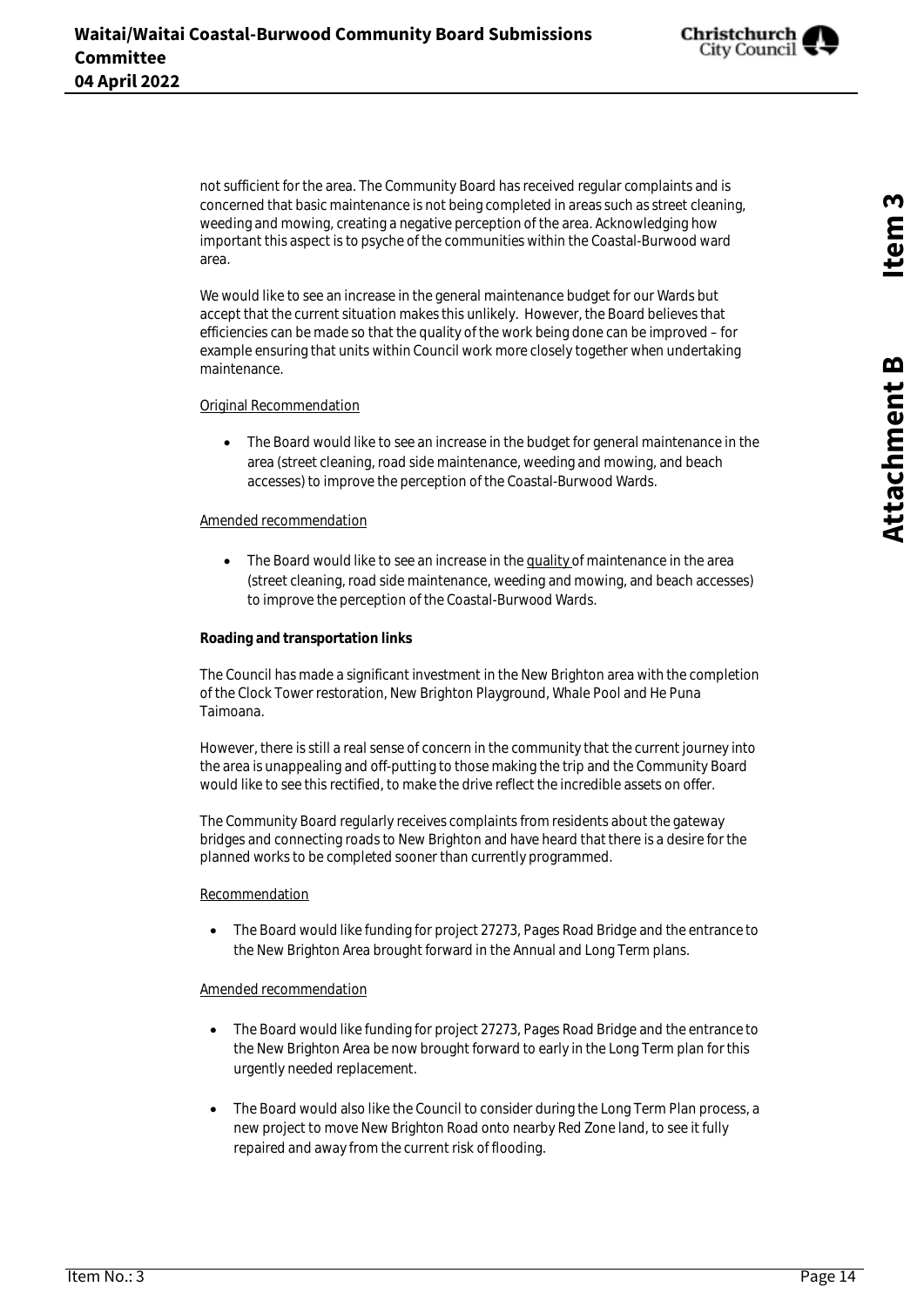Christchurch City Council

not sufficient for the area. The Community Board has received regular complaints and is concerned that basic maintenance is not being completed in areas such as street cleaning, weeding and mowing, creating a negative perception of the area. Acknowledging how important this aspect is to psyche of the communities within the Coastal-Burwood ward area.

We would like to see an increase in the general maintenance budget for our Wards but accept that the current situation makes this unlikely. However, the Board believes that efficiencies can be made so that the quality of the work being done can be improved – for example ensuring that units within Council work more closely together when undertaking maintenance.

#### Original Recommendation

• The Board would like to see an increase in the budget for general maintenance in the area (street cleaning, road side maintenance, weeding and mowing, and beach accesses) to improve the perception of the Coastal-Burwood Wards.

#### Amended recommendation

 $\bullet$  The Board would like to see an increase in the quality of maintenance in the area (street cleaning, road side maintenance, weeding and mowing, and beach accesses) to improve the perception of the Coastal-Burwood Wards.

#### **Roading and transportation links**

The Council has made a significant investment in the New Brighton area with the completion of the Clock Tower restoration, New Brighton Playground, Whale Pool and He Puna Taimoana.

However, there is still a real sense of concern in the community that the current journey into the area is unappealing and off-putting to those making the trip and the Community Board would like to see this rectified, to make the drive reflect the incredible assets on offer.

The Community Board regularly receives complaints from residents about the gateway bridges and connecting roads to New Brighton and have heard that there is a desire for the planned works to be completed sooner than currently programmed.

#### Recommendation

 The Board would like funding for project 27273, Pages Road Bridge and the entrance to the New Brighton Area brought forward in the Annual and Long Term plans.

#### Amended recommendation

- The Board would like funding for project 27273, Pages Road Bridge and the entrance to the New Brighton Area be now brought forward to early in the Long Term plan for this urgently needed replacement.
- The Board would also like the Council to consider during the Long Term Plan process, a new project to move New Brighton Road onto nearby Red Zone land, to see it fully repaired and away from the current risk of flooding.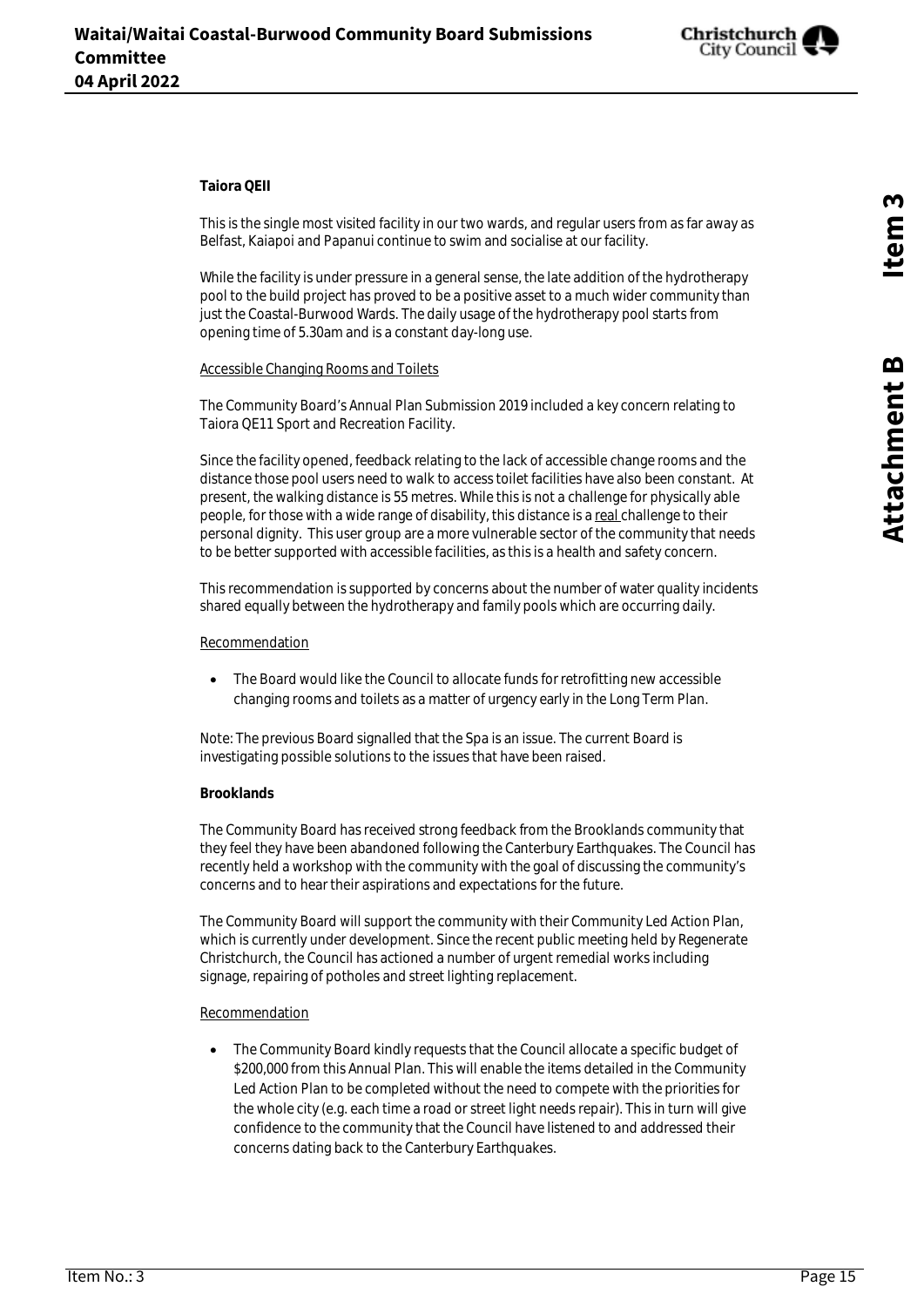

#### **Taiora QEII**

This is the single most visited facility in our two wards, and regular users from as far away as Belfast, Kaiapoi and Papanui continue to swim and socialise at our facility.

While the facility is under pressure in a general sense, the late addition of the hydrotherapy pool to the build project has proved to be a positive asset to a much wider community than just the Coastal-Burwood Wards. The daily usage of the hydrotherapy pool starts from opening time of 5.30am and is a constant day-long use.

#### Accessible Changing Rooms and Toilets

The Community Board's Annual Plan Submission 2019 included a key concern relating to Taiora QE11 Sport and Recreation Facility.

Since the facility opened, feedback relating to the lack of accessible change rooms and the distance those pool users need to walk to access toilet facilities have also been constant. At present, the walking distance is 55 metres. While this is not a challenge for physically able people, for those with a wide range of disability, this distance is a real challenge to their personal dignity. This user group are a more vulnerable sector of the community that needs to be better supported with accessible facilities, as this is a health and safety concern.

This recommendation is supported by concerns about the number of water quality incidents shared equally between the hydrotherapy and family pools which are occurring daily.

#### Recommendation

 The Board would like the Council to allocate funds for retrofitting new accessible changing rooms and toilets as a matter of urgency early in the Long Term Plan.

Note: The previous Board signalled that the Spa is an issue. The current Board is investigating possible solutions to the issues that have been raised.

#### **Brooklands**

The Community Board has received strong feedback from the Brooklands community that they feel they have been abandoned following the Canterbury Earthquakes. The Council has recently held a workshop with the community with the goal of discussing the community's concerns and to hear their aspirations and expectations for the future.

The Community Board will support the community with their Community Led Action Plan, which is currently under development. Since the recent public meeting held by Regenerate Christchurch, the Council has actioned a number of urgent remedial works including signage, repairing of potholes and street lighting replacement.

#### **Recommendation**

 The Community Board kindly requests that the Council allocate a specific budget of \$200,000 from this Annual Plan. This will enable the items detailed in the Community Led Action Plan to be completed without the need to compete with the priorities for the whole city (e.g. each time a road or street light needs repair). This in turn will give confidence to the community that the Council have listened to and addressed their concerns dating back to the Canterbury Earthquakes.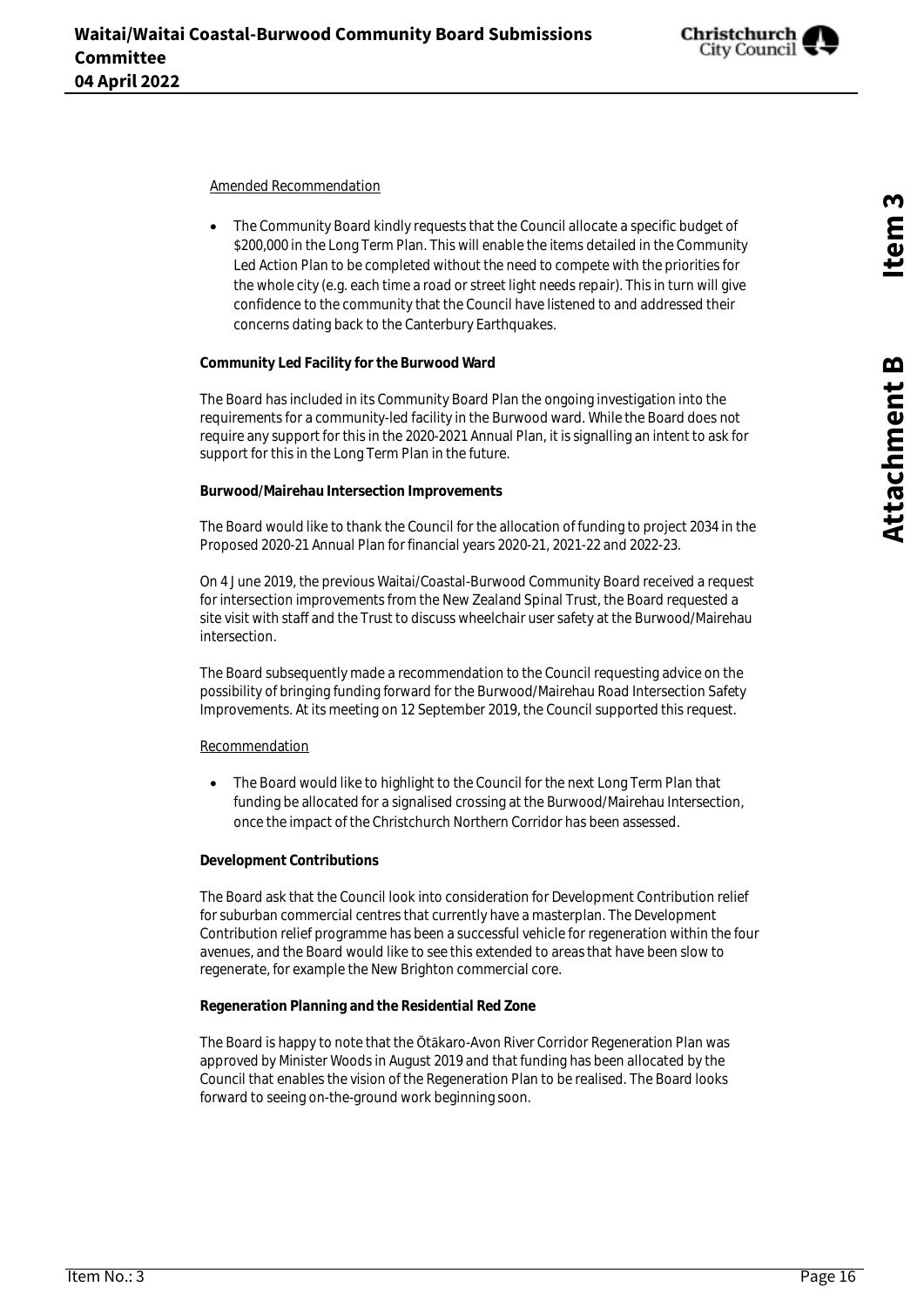

Amended Recommendation

 The Community Board kindly requests that the Council allocate a specific budget of \$200,000 in the Long Term Plan. This will enable the items detailed in the Community Led Action Plan to be completed without the need to compete with the priorities for the whole city (e.g. each time a road or street light needs repair). This in turn will give confidence to the community that the Council have listened to and addressed their concerns dating back to the Canterbury Earthquakes.

#### **Community Led Facility for the Burwood Ward**

The Board has included in its Community Board Plan the ongoing investigation into the requirements for a community-led facility in the Burwood ward. While the Board does not require any support for this in the 2020-2021 Annual Plan, it is signalling an intent to ask for support for this in the Long Term Plan in the future.

**Burwood/Mairehau Intersection Improvements**

The Board would like to thank the Council for the allocation of funding to project 2034 in the Proposed 2020-21 Annual Plan for financial years 2020-21, 2021-22 and 2022-23.

On 4 June 2019, the previous Waitai/Coastal-Burwood Community Board received a request for intersection improvements from the New Zealand Spinal Trust, the Board requested a site visit with staff and the Trust to discuss wheelchair user safety at the Burwood/Mairehau intersection.

The Board subsequently made a recommendation to the Council requesting advice on the possibility of bringing funding forward for the Burwood/Mairehau Road Intersection Safety Improvements. At its meeting on 12 September 2019, the Council supported this request.

#### Recommendation

 The Board would like to highlight to the Council for the next Long Term Plan that funding be allocated for a signalised crossing at the Burwood/Mairehau Intersection, once the impact of the Christchurch Northern Corridor has been assessed.

#### **Development Contributions**

The Board ask that the Council look into consideration for Development Contribution relief for suburban commercial centres that currently have a masterplan. The Development Contribution relief programme has been a successful vehicle for regeneration within the four avenues, and the Board would like to see this extended to areas that have been slow to regenerate, for example the New Brighton commercial core.

 **Regeneration Planning and the Residential Red Zone**

The Board is happy to note that the Ōtākaro-Avon River Corridor Regeneration Plan was approved by Minister Woods in August 2019 and that funding has been allocated by the Council that enables the vision of the Regeneration Plan to be realised. The Board looks forward to seeing on-the-ground work beginning soon.